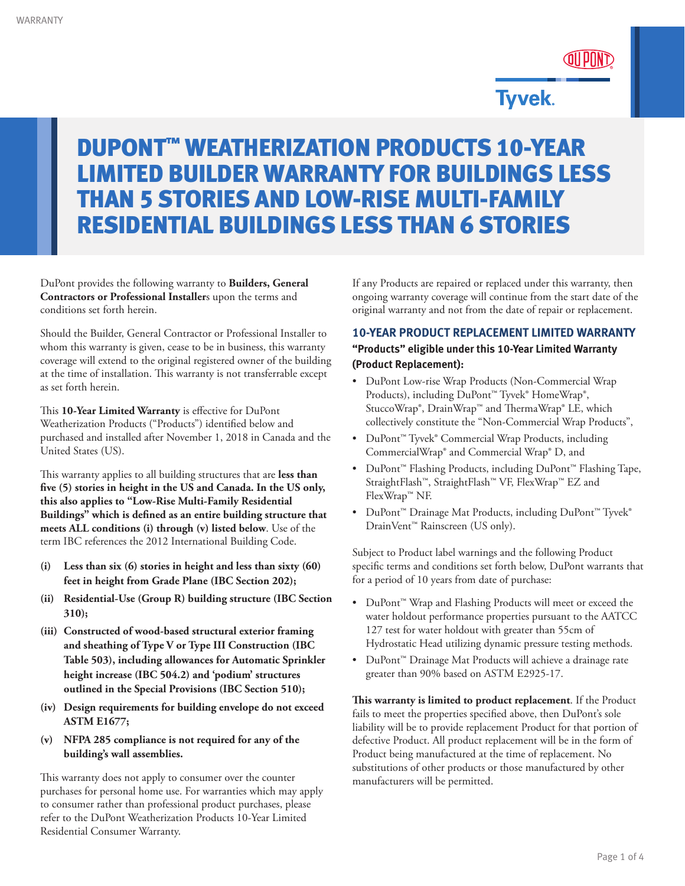

# **Tyvek.**

# DUPONT™ WEATHERIZATION PRODUCTS 10-YEAR LIMITED BUILDER WARRANTY FOR BUILDINGS LESS THAN 5 STORIES AND LOW-RISE MULTI-FAMILY RESIDENTIAL BUILDINGS LESS THAN 6 STORIES

DuPont provides the following warranty to **Builders, General Contractors or Professional Installer**s upon the terms and conditions set forth herein.

Should the Builder, General Contractor or Professional Installer to whom this warranty is given, cease to be in business, this warranty coverage will extend to the original registered owner of the building at the time of installation. This warranty is not transferrable except as set forth herein.

This **10-Year Limited Warranty** is effective for DuPont Weatherization Products ("Products") identified below and purchased and installed after November 1, 2018 in Canada and the United States (US).

This warranty applies to all building structures that are **less than five (5) stories in height in the US and Canada. In the US only, this also applies to "Low-Rise Multi-Family Residential Buildings" which is defined as an entire building structure that meets ALL conditions (i) through (v) listed below**. Use of the term IBC references the 2012 International Building Code.

- **(i) Less than six (6) stories in height and less than sixty (60) feet in height from Grade Plane (IBC Section 202);**
- **(ii) Residential-Use (Group R) building structure (IBC Section 310);**
- **(iii) Constructed of wood-based structural exterior framing and sheathing of Type V or Type III Construction (IBC Table 503), including allowances for Automatic Sprinkler height increase (IBC 504.2) and 'podium' structures outlined in the Special Provisions (IBC Section 510);**
- **(iv) Design requirements for building envelope do not exceed ASTM E1677;**
- **(v) NFPA 285 compliance is not required for any of the building's wall assemblies.**

This warranty does not apply to consumer over the counter purchases for personal home use. For warranties which may apply to consumer rather than professional product purchases, please refer to the DuPont Weatherization Products 10-Year Limited Residential Consumer Warranty.

If any Products are repaired or replaced under this warranty, then ongoing warranty coverage will continue from the start date of the original warranty and not from the date of repair or replacement.

#### **10-YEAR PRODUCT REPLACEMENT LIMITED WARRANTY**

**"Products" eligible under this 10-Year Limited Warranty (Product Replacement):**

- DuPont Low-rise Wrap Products (Non-Commercial Wrap Products), including DuPont™ Tyvek® HomeWrap®, StuccoWrap®, DrainWrap™ and ThermaWrap® LE, which collectively constitute the "Non-Commercial Wrap Products",
- DuPont™ Tyvek® Commercial Wrap Products, including CommercialWrap® and Commercial Wrap® D, and
- DuPont™ Flashing Products, including DuPont™ Flashing Tape, StraightFlash™, StraightFlash™ VF, FlexWrap™ EZ and FlexWrap™ NF.
- DuPont™ Drainage Mat Products, including DuPont™ Tyvek® DrainVent™ Rainscreen (US only).

Subject to Product label warnings and the following Product specific terms and conditions set forth below, DuPont warrants that for a period of 10 years from date of purchase:

- DuPont™ Wrap and Flashing Products will meet or exceed the water holdout performance properties pursuant to the AATCC 127 test for water holdout with greater than 55cm of Hydrostatic Head utilizing dynamic pressure testing methods.
- DuPont™ Drainage Mat Products will achieve a drainage rate greater than 90% based on ASTM E2925-17.

**This warranty is limited to product replacement**. If the Product fails to meet the properties specified above, then DuPont's sole liability will be to provide replacement Product for that portion of defective Product. All product replacement will be in the form of Product being manufactured at the time of replacement. No substitutions of other products or those manufactured by other manufacturers will be permitted.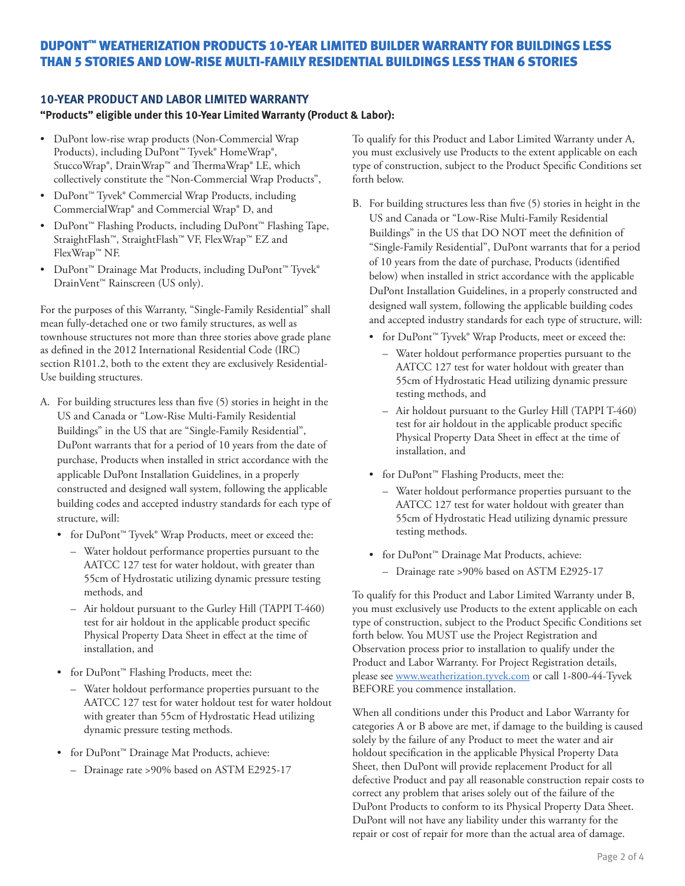# DUPONT™ WEATHERIZATION PRODUCTS 10-YEAR LIMITED BUILDER WARRANTY FOR BUILDINGS LESS THAN 5 STORIES AND LOW-RISE MULTI-FAMILY RESIDENTIAL BUILDINGS LESS THAN 6 STORIES

#### **10-YEAR PRODUCT AND LABOR LIMITED WARRANTY**

#### **"Products" eligible under this 10-Year Limited Warranty (Product & Labor):**

- DuPont low-rise wrap products (Non-Commercial Wrap Products), including DuPont<sup>™</sup> Tyvek® HomeWrap®, StuccoWrap®, DrainWrap™ and ThermaWrap® LE, which collectively constitute the "Non-Commercial Wrap Products",
- DuPont™ Tyvek® Commercial Wrap Products, including CommercialWrap® and Commercial Wrap® D, and
- DuPont™ Flashing Products, including DuPont™ Flashing Tape, StraightFlash™, StraightFlash™ VF, FlexWrap™ EZ and FlexWrap™ NF.
- DuPont™ Drainage Mat Products, including DuPont™ Tyvek® DrainVent™ Rainscreen (US only).

For the purposes of this Warranty, "Single-Family Residential" shall mean fully-detached one or two family structures, as well as townhouse structures not more than three stories above grade plane as defined in the 2012 International Residential Code (IRC) section R101.2, both to the extent they are exclusively Residential-Use building structures.

- A. For building structures less than five (5) stories in height in the US and Canada or "Low-Rise Multi-Family Residential Buildings" in the US that are "Single-Family Residential", DuPont warrants that for a period of 10 years from the date of purchase, Products when installed in strict accordance with the applicable DuPont Installation Guidelines, in a properly constructed and designed wall system, following the applicable building codes and accepted industry standards for each type of structure, will:
	- for DuPont™ Tyvek® Wrap Products, meet or exceed the:
		- Water holdout performance properties pursuant to the AATCC 127 test for water holdout, with greater than 55cm of Hydrostatic utilizing dynamic pressure testing methods, and
		- Air holdout pursuant to the Gurley Hill (TAPPI T-460) test for air holdout in the applicable product specific Physical Property Data Sheet in effect at the time of installation, and
	- for DuPont™ Flashing Products, meet the:
		- Water holdout performance properties pursuant to the AATCC 127 test for water holdout test for water holdout with greater than 55cm of Hydrostatic Head utilizing dynamic pressure testing methods.
	- for DuPont™ Drainage Mat Products, achieve:
		- Drainage rate >90% based on ASTM E2925-17

To qualify for this Product and Labor Limited Warranty under A, you must exclusively use Products to the extent applicable on each type of construction, subject to the Product Specific Conditions set forth below.

- B. For building structures less than five (5) stories in height in the US and Canada or "Low-Rise Multi-Family Residential Buildings" in the US that DO NOT meet the definition of "Single-Family Residential", DuPont warrants that for a period of 10 years from the date of purchase, Products (identified below) when installed in strict accordance with the applicable DuPont Installation Guidelines, in a properly constructed and designed wall system, following the applicable building codes and accepted industry standards for each type of structure, will:
	- for DuPont™ Tyvek® Wrap Products, meet or exceed the:
		- Water holdout performance properties pursuant to the AATCC 127 test for water holdout with greater than 55cm of Hydrostatic Head utilizing dynamic pressure testing methods, and
		- Air holdout pursuant to the Gurley Hill (TAPPI T-460) test for air holdout in the applicable product specific Physical Property Data Sheet in effect at the time of installation, and
	- for DuPont™ Flashing Products, meet the:
		- Water holdout performance properties pursuant to the AATCC 127 test for water holdout with greater than 55cm of Hydrostatic Head utilizing dynamic pressure testing methods.
	- for DuPont™ Drainage Mat Products, achieve:
		- Drainage rate >90% based on ASTM E2925-17

To qualify for this Product and Labor Limited Warranty under B, you must exclusively use Products to the extent applicable on each type of construction, subject to the Product Specific Conditions set forth below. You MUST use the Project Registration and Observation process prior to installation to qualify under the Product and Labor Warranty. For Project Registration details, please see [www.weatherization.tyvek.com](http://www.weatherization.tyvek.com) or call 1-800-44-Tyvek BEFORE you commence installation.

When all conditions under this Product and Labor Warranty for categories A or B above are met, if damage to the building is caused solely by the failure of any Product to meet the water and air holdout specification in the applicable Physical Property Data Sheet, then DuPont will provide replacement Product for all defective Product and pay all reasonable construction repair costs to correct any problem that arises solely out of the failure of the DuPont Products to conform to its Physical Property Data Sheet. DuPont will not have any liability under this warranty for the repair or cost of repair for more than the actual area of damage.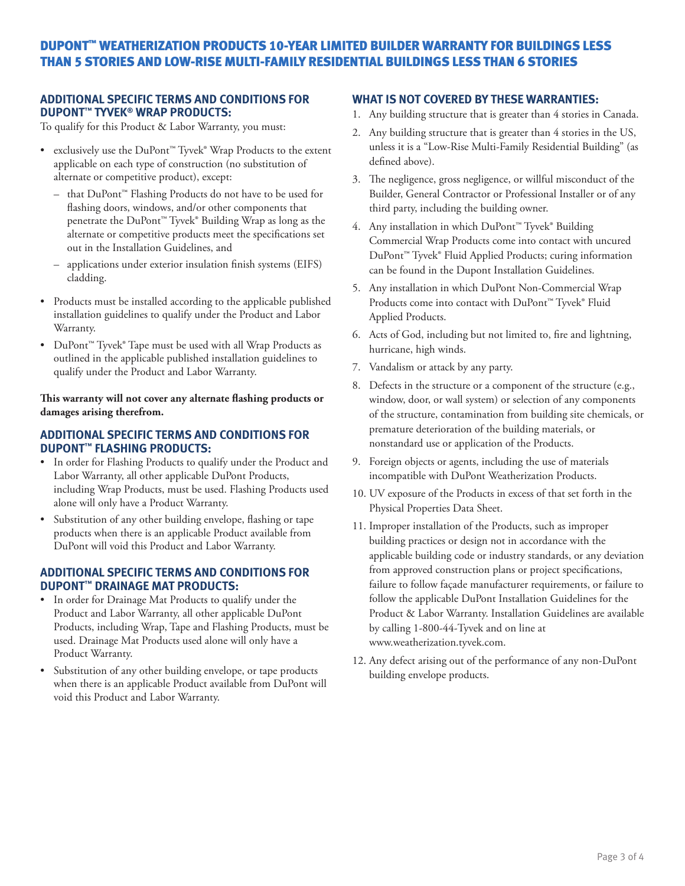# DUPONT™ WEATHERIZATION PRODUCTS 10-YEAR LIMITED BUILDER WARRANTY FOR BUILDINGS LESS THAN 5 STORIES AND LOW-RISE MULTI-FAMILY RESIDENTIAL BUILDINGS LESS THAN 6 STORIES

#### **ADDITIONAL SPECIFIC TERMS AND CONDITIONS FOR DUPONT™ TYVEK® WRAP PRODUCTS:**

To qualify for this Product & Labor Warranty, you must:

- exclusively use the DuPont™ Tyvek® Wrap Products to the extent applicable on each type of construction (no substitution of alternate or competitive product), except:
	- that DuPont™ Flashing Products do not have to be used for flashing doors, windows, and/or other components that penetrate the DuPont™ Tyvek® Building Wrap as long as the alternate or competitive products meet the specifications set out in the Installation Guidelines, and
	- applications under exterior insulation finish systems (EIFS) cladding.
- Products must be installed according to the applicable published installation guidelines to qualify under the Product and Labor Warranty.
- DuPont™ Tyvek® Tape must be used with all Wrap Products as outlined in the applicable published installation guidelines to qualify under the Product and Labor Warranty.

**This warranty will not cover any alternate flashing products or damages arising therefrom.**

#### **ADDITIONAL SPECIFIC TERMS AND CONDITIONS FOR DUPONT™ FLASHING PRODUCTS:**

- In order for Flashing Products to qualify under the Product and Labor Warranty, all other applicable DuPont Products, including Wrap Products, must be used. Flashing Products used alone will only have a Product Warranty.
- Substitution of any other building envelope, flashing or tape products when there is an applicable Product available from DuPont will void this Product and Labor Warranty.

#### **ADDITIONAL SPECIFIC TERMS AND CONDITIONS FOR DUPONT™ DRAINAGE MAT PRODUCTS:**

- In order for Drainage Mat Products to qualify under the Product and Labor Warranty, all other applicable DuPont Products, including Wrap, Tape and Flashing Products, must be used. Drainage Mat Products used alone will only have a Product Warranty.
- Substitution of any other building envelope, or tape products when there is an applicable Product available from DuPont will void this Product and Labor Warranty.

#### **WHAT IS NOT COVERED BY THESE WARRANTIES:**

- 1. Any building structure that is greater than 4 stories in Canada.
- 2. Any building structure that is greater than 4 stories in the US, unless it is a "Low-Rise Multi-Family Residential Building" (as defined above).
- 3. The negligence, gross negligence, or willful misconduct of the Builder, General Contractor or Professional Installer or of any third party, including the building owner.
- 4. Any installation in which DuPont™ Tyvek® Building Commercial Wrap Products come into contact with uncured DuPont™ Tyvek® Fluid Applied Products; curing information can be found in the Dupont Installation Guidelines.
- 5. Any installation in which DuPont Non-Commercial Wrap Products come into contact with DuPont™ Tyvek® Fluid Applied Products.
- 6. Acts of God, including but not limited to, fire and lightning, hurricane, high winds.
- 7. Vandalism or attack by any party.
- 8. Defects in the structure or a component of the structure (e.g., window, door, or wall system) or selection of any components of the structure, contamination from building site chemicals, or premature deterioration of the building materials, or nonstandard use or application of the Products.
- 9. Foreign objects or agents, including the use of materials incompatible with DuPont Weatherization Products.
- 10. UV exposure of the Products in excess of that set forth in the Physical Properties Data Sheet.
- 11. Improper installation of the Products, such as improper building practices or design not in accordance with the applicable building code or industry standards, or any deviation from approved construction plans or project specifications, failure to follow façade manufacturer requirements, or failure to follow the applicable DuPont Installation Guidelines for the Product & Labor Warranty. Installation Guidelines are available by calling 1-800-44-Tyvek and on line at www.weatherization.tyvek.com.
- 12. Any defect arising out of the performance of any non-DuPont building envelope products.